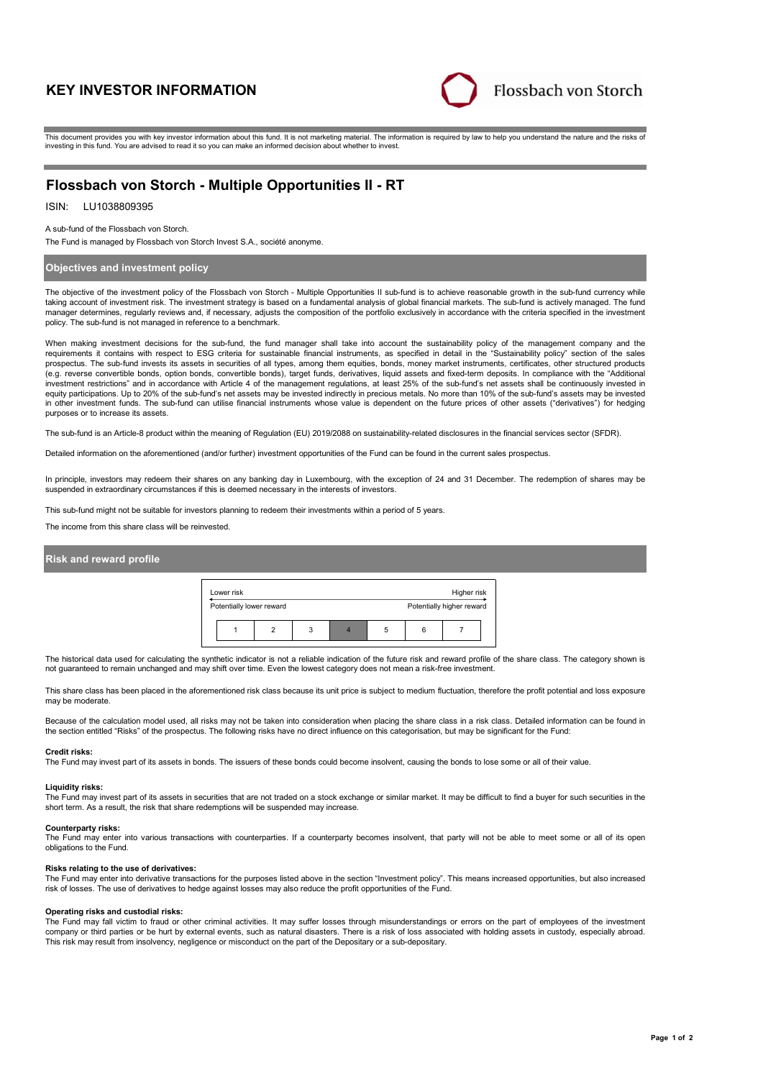# **KEY INVESTOR INFORMATION**



This document provides you with key investor information about this fund. It is not marketing material. The information is required by law to help you understand the nature and the risks of investing in this fund. You are advised to read it so you can make an informed decision about whether to invest.

# **Flossbach von Storch - Multiple Opportunities II - RT**

## ISIN: LU1038809395

A sub-fund of the Flossbach von Storch.

The Fund is managed by Flossbach von Storch Invest S.A., société anonyme.

## **Objectives and investment policy**

The objective of the investment policy of the Flossbach von Storch - Multiple Opportunities II sub-fund is to achieve reasonable growth in the sub-fund currency while taking account of investment risk. The investment strategy is based on a fundamental analysis of global financial markets. The sub-fund is actively managed. The fund manager determines, regularly reviews and, if necessary, adjusts the composition of the portfolio exclusively in accordance with the criteria specified in the investment policy. The sub-fund is not managed in reference to a benchmark.

When making investment decisions for the sub-fund, the fund manager shall take into account the sustainability policy of the management company and the requirements it contains with respect to ESG criteria for sustainable financial instruments, as specified in detail in the "Sustainability policy" section of the sales prospectus. The sub-fund invests its assets in securities of all types, among them equities, bonds, money market instruments, certificates, other structured products (e.g. reverse convertible bonds, option bonds, convertible bonds), target funds, derivatives, liquid assets and fixed-term deposits. In compliance with the "Additional investment restrictions" and in accordance with Article 4 of the management regulations, at least 25% of the sub-fund's net assets shall be continuously invested in equity participations. Up to 20% of the sub-fund's net assets may be invested indirectly in precious metals. No more than 10% of the sub-fund's assets may be invested in other investment funds. The sub-fund can utilise financial instruments whose value is dependent on the future prices of other assets ("derivatives") for hedging purposes or to increase its assets.

The sub-fund is an Article-8 product within the meaning of Regulation (EU) 2019/2088 on sustainability-related disclosures in the financial services sector (SFDR).

Detailed information on the aforementioned (and/or further) investment opportunities of the Fund can be found in the current sales prospectus.

In principle, investors may redeem their shares on any banking day in Luxembourg, with the exception of 24 and 31 December. The redemption of shares may be suspended in extraordinary circumstances if this is deemed necessary in the interests of investors.

This sub-fund might not be suitable for investors planning to redeem their investments within a period of 5 years.

The income from this share class will be reinvested.

### **Risk and reward profile**



The historical data used for calculating the synthetic indicator is not a reliable indication of the future risk and reward profile of the share class. The category shown is not guaranteed to remain unchanged and may shift over time. Even the lowest category does not mean a risk-free investment.

This share class has been placed in the aforementioned risk class because its unit price is subject to medium fluctuation, therefore the profit potential and loss exposure may be moderate

Because of the calculation model used, all risks may not be taken into consideration when placing the share class in a risk class. Detailed information can be found in the section entitled "Risks" of the prospectus. The following risks have no direct influence on this categorisation, but may be significant for the Fund:

### **Credit risks:**

The Fund may invest part of its assets in bonds. The issuers of these bonds could become insolvent, causing the bonds to lose some or all of their value.

#### **Liquidity risks:**

The Fund may invest part of its assets in securities that are not traded on a stock exchange or similar market. It may be difficult to find a buyer for such securities in the short term. As a result, the risk that share redemptions will be suspended may increase.

#### **Counterparty risks:**

The Fund may enter into various transactions with counterparties. If a counterparty becomes insolvent, that party will not be able to meet some or all of its open obligations to the Fund.

#### **Risks relating to the use of derivatives:**

The Fund may enter into derivative transactions for the purposes listed above in the section "Investment policy". This means increased opportunities, but also increased risk of losses. The use of derivatives to hedge against losses may also reduce the profit opportunities of the Fund.

#### **Operating risks and custodial risks:**

The Fund may fall victim to fraud or other criminal activities. It may suffer losses through misunderstandings or errors on the part of employees of the investment company or third parties or be hurt by external events, such as natural disasters. There is a risk of loss associated with holding assets in custody, especially abroad. This risk may result from insolvency, negligence or misconduct on the part of the Depositary or a sub-depositary.